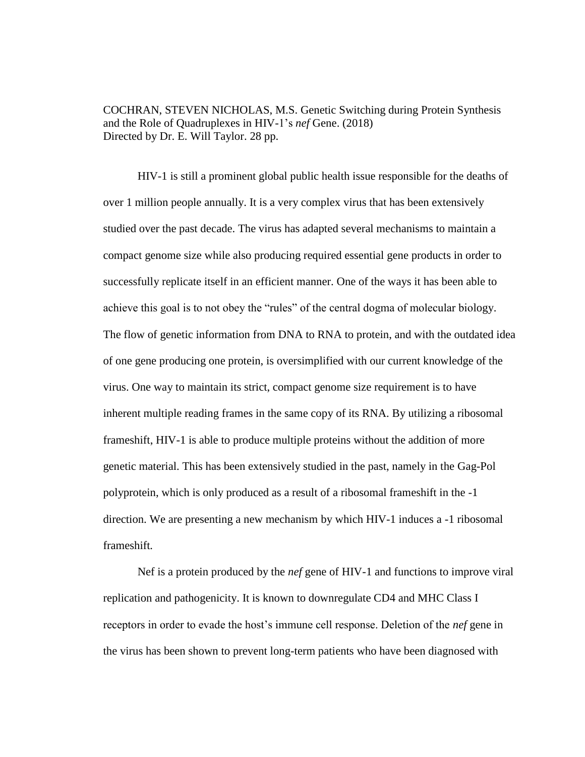COCHRAN, STEVEN NICHOLAS, M.S. Genetic Switching during Protein Synthesis and the Role of Quadruplexes in HIV-1's *nef* Gene. (2018) Directed by Dr. E. Will Taylor. 28 pp.

HIV-1 is still a prominent global public health issue responsible for the deaths of over 1 million people annually. It is a very complex virus that has been extensively studied over the past decade. The virus has adapted several mechanisms to maintain a compact genome size while also producing required essential gene products in order to successfully replicate itself in an efficient manner. One of the ways it has been able to achieve this goal is to not obey the "rules" of the central dogma of molecular biology. The flow of genetic information from DNA to RNA to protein, and with the outdated idea of one gene producing one protein, is oversimplified with our current knowledge of the virus. One way to maintain its strict, compact genome size requirement is to have inherent multiple reading frames in the same copy of its RNA. By utilizing a ribosomal frameshift, HIV-1 is able to produce multiple proteins without the addition of more genetic material. This has been extensively studied in the past, namely in the Gag-Pol polyprotein, which is only produced as a result of a ribosomal frameshift in the -1 direction. We are presenting a new mechanism by which HIV-1 induces a -1 ribosomal frameshift*.*

Nef is a protein produced by the *nef* gene of HIV-1 and functions to improve viral replication and pathogenicity. It is known to downregulate CD4 and MHC Class I receptors in order to evade the host's immune cell response. Deletion of the *nef* gene in the virus has been shown to prevent long-term patients who have been diagnosed with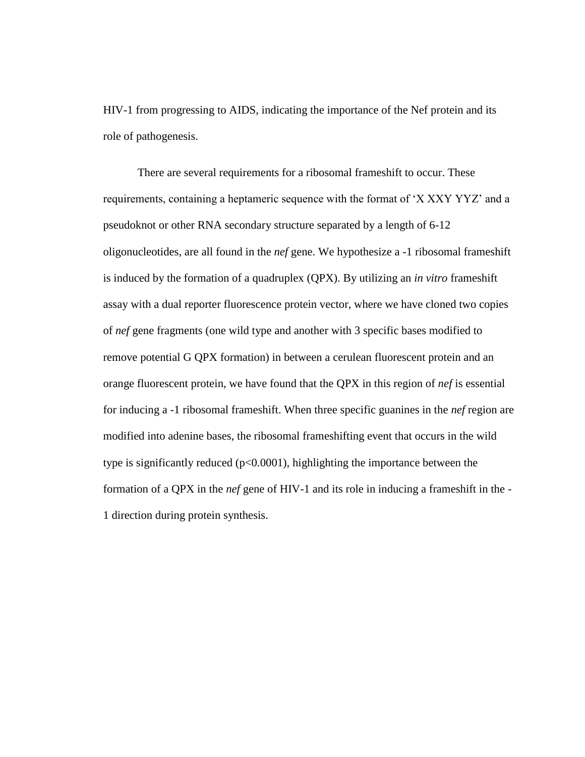HIV-1 from progressing to AIDS, indicating the importance of the Nef protein and its role of pathogenesis.

There are several requirements for a ribosomal frameshift to occur. These requirements, containing a heptameric sequence with the format of 'X XXY YYZ' and a pseudoknot or other RNA secondary structure separated by a length of 6-12 oligonucleotides, are all found in the *nef* gene. We hypothesize a -1 ribosomal frameshift is induced by the formation of a quadruplex (QPX). By utilizing an *in vitro* frameshift assay with a dual reporter fluorescence protein vector, where we have cloned two copies of *nef* gene fragments (one wild type and another with 3 specific bases modified to remove potential G QPX formation) in between a cerulean fluorescent protein and an orange fluorescent protein, we have found that the QPX in this region of *nef* is essential for inducing a -1 ribosomal frameshift. When three specific guanines in the *nef* region are modified into adenine bases, the ribosomal frameshifting event that occurs in the wild type is significantly reduced  $(p<0.0001)$ , highlighting the importance between the formation of a QPX in the *nef* gene of HIV-1 and its role in inducing a frameshift in the - 1 direction during protein synthesis.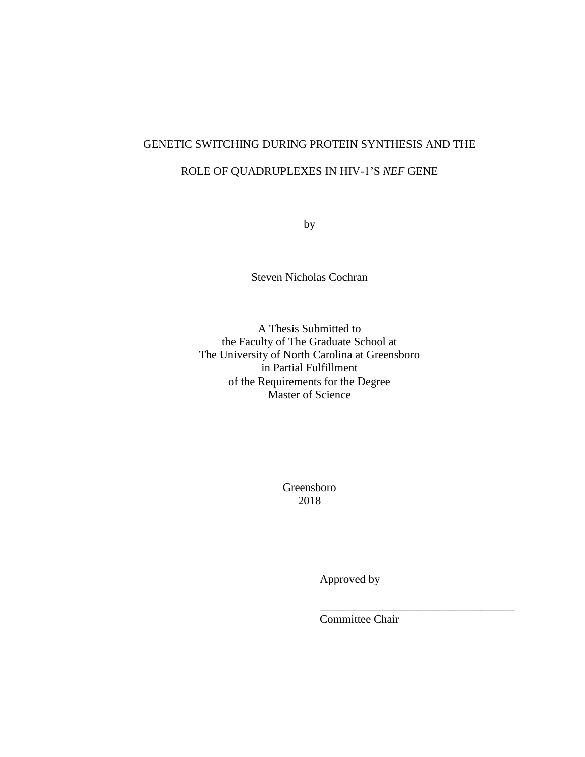# GENETIC SWITCHING DURING PROTEIN SYNTHESIS AND THE

# ROLE OF QUADRUPLEXES IN HIV-1'S *NEF* GENE

by

Steven Nicholas Cochran

A Thesis Submitted to the Faculty of The Graduate School at The University of North Carolina at Greensboro in Partial Fulfillment of the Requirements for the Degree Master of Science

> Greensboro 2018

> > Approved by

Committee Chair

\_\_\_\_\_\_\_\_\_\_\_\_\_\_\_\_\_\_\_\_\_\_\_\_\_\_\_\_\_\_\_\_\_\_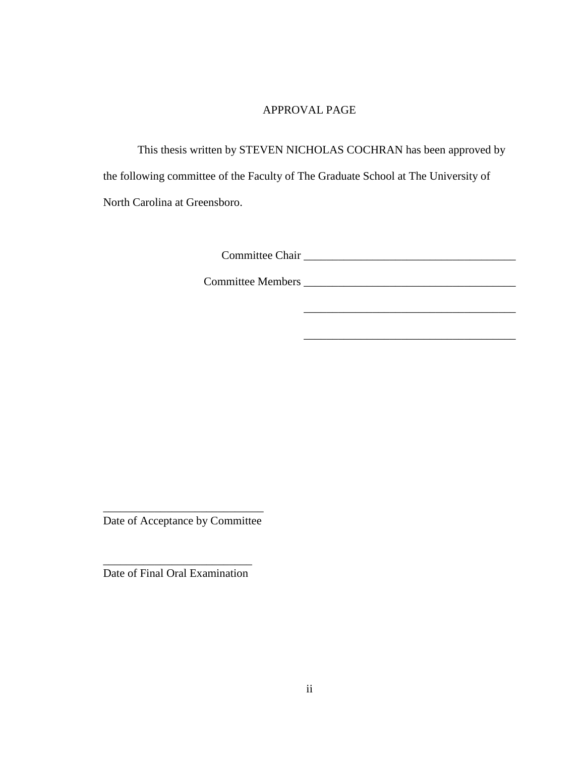### APPROVAL PAGE

This thesis written by STEVEN NICHOLAS COCHRAN has been approved by the following committee of the Faculty of The Graduate School at The University of North Carolina at Greensboro.

\_\_\_\_\_\_\_\_\_\_\_\_\_\_\_\_\_\_\_\_\_\_\_\_\_\_\_\_\_\_\_\_\_\_\_\_\_

\_\_\_\_\_\_\_\_\_\_\_\_\_\_\_\_\_\_\_\_\_\_\_\_\_\_\_\_\_\_\_\_\_\_\_\_\_

Committee Chair.

Committee Members.\_\_\_\_\_\_\_\_\_\_\_\_\_\_\_\_\_\_\_\_\_\_\_\_\_\_\_\_\_\_\_\_\_\_\_\_\_

\_\_\_\_\_\_\_\_\_\_\_\_\_\_\_\_\_\_\_\_\_\_\_\_\_\_\_\_ Date of Acceptance by Committee

\_\_\_\_\_\_\_\_\_\_\_\_\_\_\_\_\_\_\_\_\_\_\_\_\_\_ Date of Final Oral Examination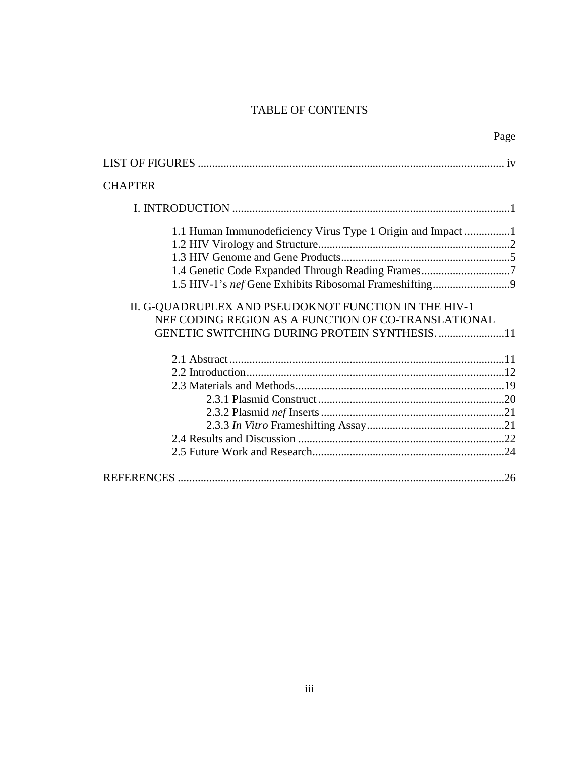# TABLE OF CONTENTS

|                                                                                                                                                                     | Page |
|---------------------------------------------------------------------------------------------------------------------------------------------------------------------|------|
|                                                                                                                                                                     |      |
| <b>CHAPTER</b>                                                                                                                                                      |      |
|                                                                                                                                                                     |      |
| 1.1 Human Immunodeficiency Virus Type 1 Origin and Impact                                                                                                           |      |
| 1.4 Genetic Code Expanded Through Reading Frames7                                                                                                                   |      |
| II. G-QUADRUPLEX AND PSEUDOKNOT FUNCTION IN THE HIV-1<br>NEF CODING REGION AS A FUNCTION OF CO-TRANSLATIONAL<br><b>GENETIC SWITCHING DURING PROTEIN SYNTHESIS11</b> |      |
|                                                                                                                                                                     |      |
|                                                                                                                                                                     |      |
|                                                                                                                                                                     |      |
|                                                                                                                                                                     |      |
|                                                                                                                                                                     |      |
|                                                                                                                                                                     |      |
|                                                                                                                                                                     |      |
|                                                                                                                                                                     |      |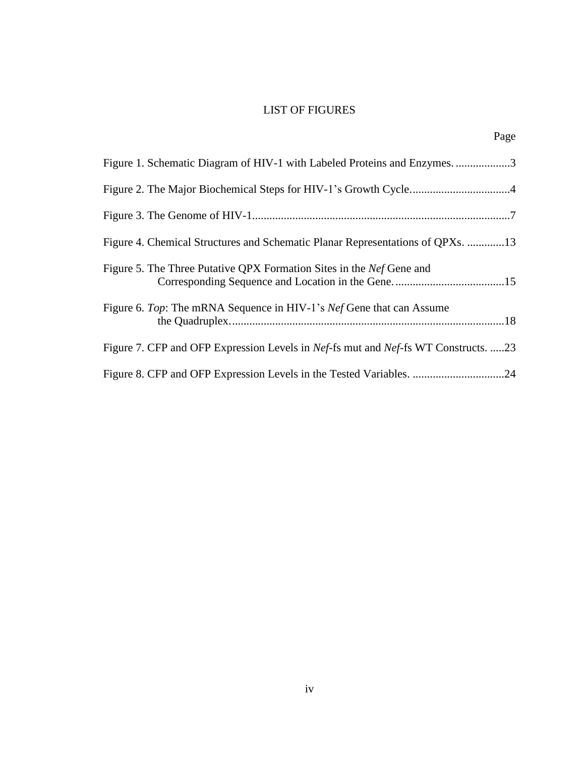# LIST OF FIGURES

|                                                                                    | Page |
|------------------------------------------------------------------------------------|------|
| Figure 1. Schematic Diagram of HIV-1 with Labeled Proteins and Enzymes. 3          |      |
|                                                                                    |      |
|                                                                                    |      |
| Figure 4. Chemical Structures and Schematic Planar Representations of QPXs. 13     |      |
| Figure 5. The Three Putative QPX Formation Sites in the <i>Nef</i> Gene and        |      |
| Figure 6. Top: The mRNA Sequence in HIV-1's Nef Gene that can Assume               |      |
| Figure 7. CFP and OFP Expression Levels in Nef-fs mut and Nef-fs WT Constructs. 23 |      |
|                                                                                    |      |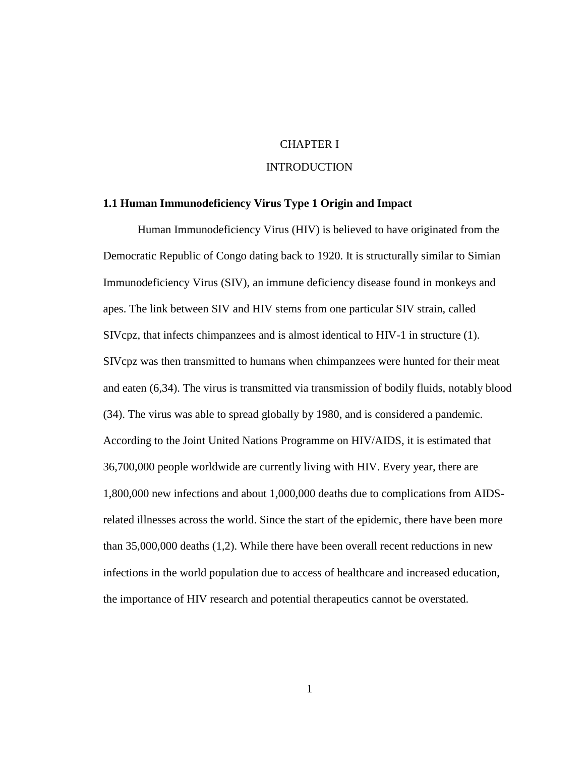### CHAPTER I

### INTRODUCTION

### **1.1 Human Immunodeficiency Virus Type 1 Origin and Impact**

Human Immunodeficiency Virus (HIV) is believed to have originated from the Democratic Republic of Congo dating back to 1920. It is structurally similar to Simian Immunodeficiency Virus (SIV), an immune deficiency disease found in monkeys and apes. The link between SIV and HIV stems from one particular SIV strain, called SIVcpz, that infects chimpanzees and is almost identical to HIV-1 in structure (1). SIVcpz was then transmitted to humans when chimpanzees were hunted for their meat and eaten (6,34). The virus is transmitted via transmission of bodily fluids, notably blood (34). The virus was able to spread globally by 1980, and is considered a pandemic. According to the Joint United Nations Programme on HIV/AIDS, it is estimated that 36,700,000 people worldwide are currently living with HIV. Every year, there are 1,800,000 new infections and about 1,000,000 deaths due to complications from AIDSrelated illnesses across the world. Since the start of the epidemic, there have been more than 35,000,000 deaths (1,2). While there have been overall recent reductions in new infections in the world population due to access of healthcare and increased education, the importance of HIV research and potential therapeutics cannot be overstated.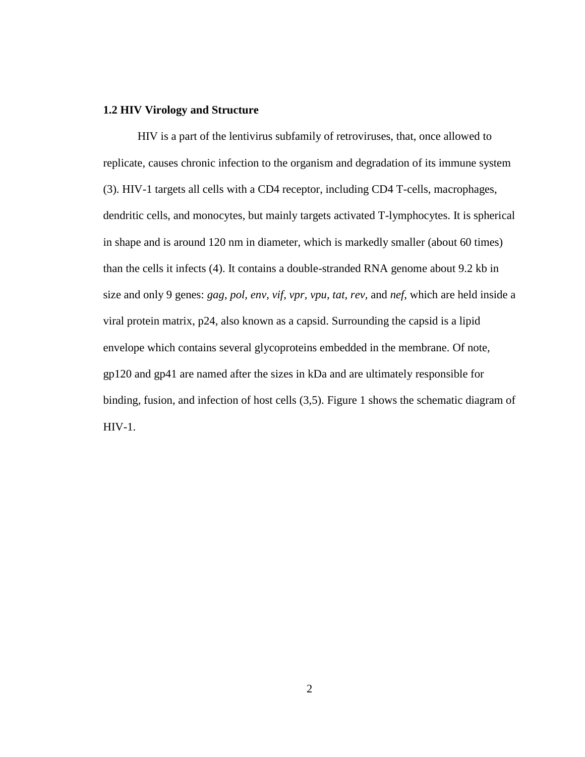### **1.2 HIV Virology and Structure**

HIV is a part of the lentivirus subfamily of retroviruses, that, once allowed to replicate, causes chronic infection to the organism and degradation of its immune system (3). HIV-1 targets all cells with a CD4 receptor, including CD4 T-cells, macrophages, dendritic cells, and monocytes, but mainly targets activated T-lymphocytes. It is spherical in shape and is around 120 nm in diameter, which is markedly smaller (about 60 times) than the cells it infects (4). It contains a double-stranded RNA genome about 9.2 kb in size and only 9 genes: *gag, pol, env, vif, vpr, vpu, tat, rev,* and *nef*, which are held inside a viral protein matrix, p24, also known as a capsid. Surrounding the capsid is a lipid envelope which contains several glycoproteins embedded in the membrane. Of note, gp120 and gp41 are named after the sizes in kDa and are ultimately responsible for binding, fusion, and infection of host cells (3,5). Figure 1 shows the schematic diagram of HIV-1.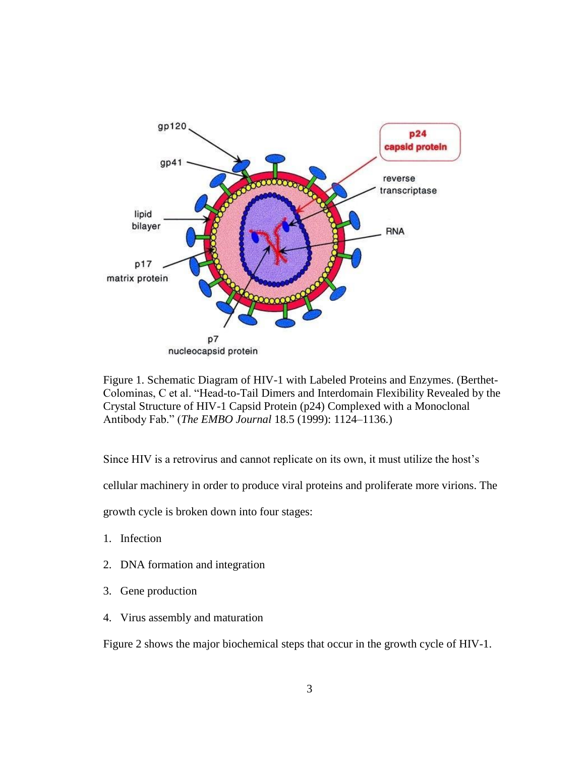

Figure 1. Schematic Diagram of HIV-1 with Labeled Proteins and Enzymes. (Berthet-Colominas, C et al. "Head-to-Tail Dimers and Interdomain Flexibility Revealed by the Crystal Structure of HIV-1 Capsid Protein (p24) Complexed with a Monoclonal Antibody Fab." (*The EMBO Journal* 18.5 (1999): 1124–1136.)

Since HIV is a retrovirus and cannot replicate on its own, it must utilize the host's

cellular machinery in order to produce viral proteins and proliferate more virions. The

growth cycle is broken down into four stages:

- 1. Infection
- 2. DNA formation and integration
- 3. Gene production
- 4. Virus assembly and maturation

Figure 2 shows the major biochemical steps that occur in the growth cycle of HIV-1.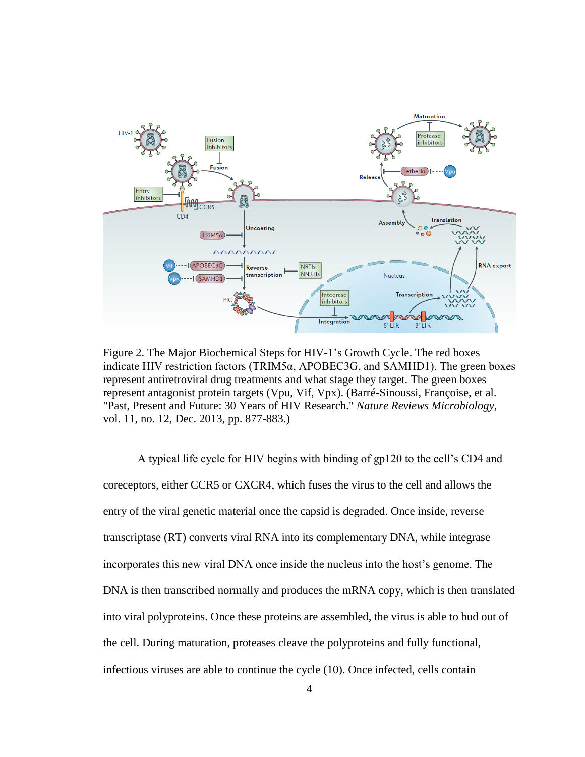

Figure 2. The Major Biochemical Steps for HIV-1's Growth Cycle. The red boxes indicate HIV restriction factors (TRIM5 $\alpha$ , APOBEC3G, and SAMHD1). The green boxes represent antiretroviral drug treatments and what stage they target. The green boxes represent antagonist protein targets (Vpu, Vif, Vpx). (Barré-Sinoussi, Françoise, et al. "Past, Present and Future: 30 Years of HIV Research." *Nature Reviews Microbiology*, vol. 11, no. 12, Dec. 2013, pp. 877-883.)

A typical life cycle for HIV begins with binding of gp120 to the cell's CD4 and coreceptors, either CCR5 or CXCR4, which fuses the virus to the cell and allows the entry of the viral genetic material once the capsid is degraded. Once inside, reverse transcriptase (RT) converts viral RNA into its complementary DNA, while integrase incorporates this new viral DNA once inside the nucleus into the host's genome. The DNA is then transcribed normally and produces the mRNA copy, which is then translated into viral polyproteins. Once these proteins are assembled, the virus is able to bud out of the cell. During maturation, proteases cleave the polyproteins and fully functional, infectious viruses are able to continue the cycle (10). Once infected, cells contain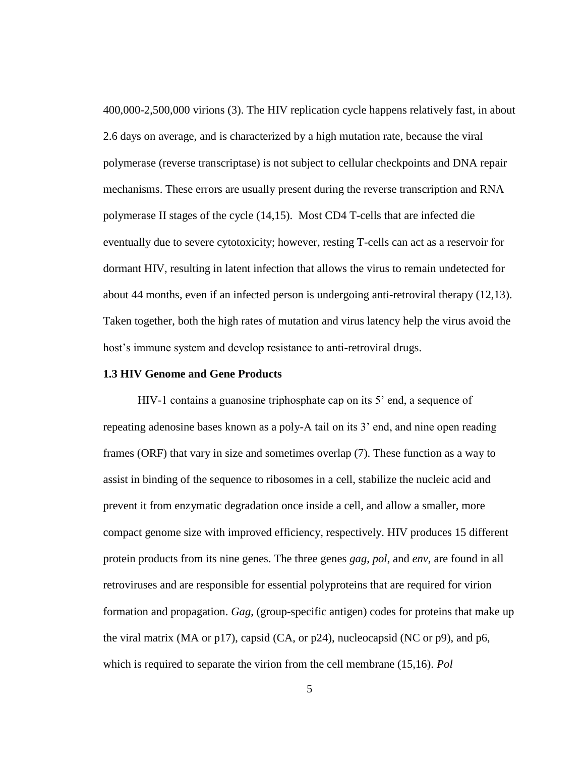400,000-2,500,000 virions (3). The HIV replication cycle happens relatively fast, in about 2.6 days on average, and is characterized by a high mutation rate, because the viral polymerase (reverse transcriptase) is not subject to cellular checkpoints and DNA repair mechanisms. These errors are usually present during the reverse transcription and RNA polymerase II stages of the cycle (14,15). Most CD4 T-cells that are infected die eventually due to severe cytotoxicity; however, resting T-cells can act as a reservoir for dormant HIV, resulting in latent infection that allows the virus to remain undetected for about 44 months, even if an infected person is undergoing anti-retroviral therapy (12,13). Taken together, both the high rates of mutation and virus latency help the virus avoid the host's immune system and develop resistance to anti-retroviral drugs.

### **1.3 HIV Genome and Gene Products**

HIV-1 contains a guanosine triphosphate cap on its 5' end, a sequence of repeating adenosine bases known as a poly-A tail on its 3' end, and nine open reading frames (ORF) that vary in size and sometimes overlap (7). These function as a way to assist in binding of the sequence to ribosomes in a cell, stabilize the nucleic acid and prevent it from enzymatic degradation once inside a cell, and allow a smaller, more compact genome size with improved efficiency, respectively. HIV produces 15 different protein products from its nine genes. The three genes *gag*, *pol*, and *env*, are found in all retroviruses and are responsible for essential polyproteins that are required for virion formation and propagation. *Gag*, (group-specific antigen) codes for proteins that make up the viral matrix (MA or  $p17$ ), capsid (CA, or  $p24$ ), nucleocapsid (NC or  $p9$ ), and  $p6$ , which is required to separate the virion from the cell membrane (15,16). *Pol*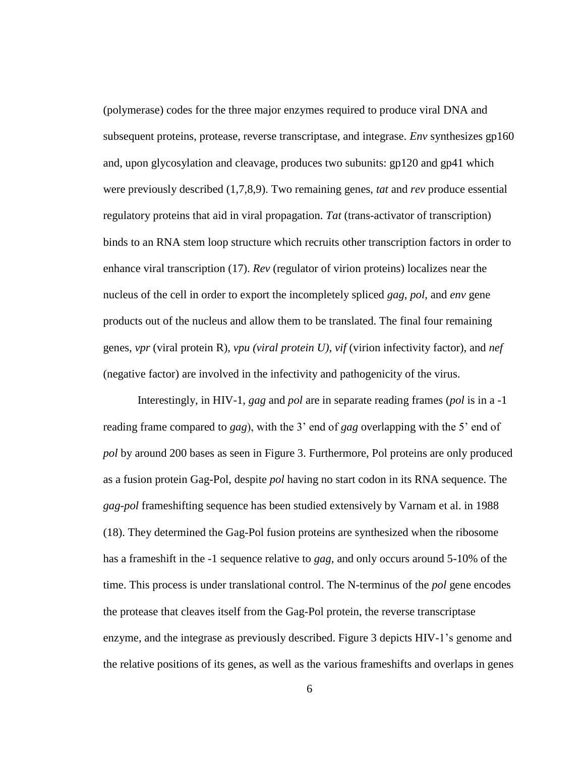(polymerase) codes for the three major enzymes required to produce viral DNA and subsequent proteins, protease, reverse transcriptase, and integrase. *Env* synthesizes gp160 and, upon glycosylation and cleavage, produces two subunits: gp120 and gp41 which were previously described (1,7,8,9). Two remaining genes, *tat* and *rev* produce essential regulatory proteins that aid in viral propagation. *Tat* (trans-activator of transcription) binds to an RNA stem loop structure which recruits other transcription factors in order to enhance viral transcription (17). *Rev* (regulator of virion proteins) localizes near the nucleus of the cell in order to export the incompletely spliced *gag*, *pol*, and *env* gene products out of the nucleus and allow them to be translated. The final four remaining genes, *vpr* (viral protein R), *vpu (viral protein U)*, *vif* (virion infectivity factor), and *nef*  (negative factor) are involved in the infectivity and pathogenicity of the virus.

Interestingly, in HIV-1, *gag* and *pol* are in separate reading frames (*pol* is in a -1 reading frame compared to *gag*), with the 3' end of *gag* overlapping with the 5' end of *pol* by around 200 bases as seen in Figure 3. Furthermore, Pol proteins are only produced as a fusion protein Gag-Pol, despite *pol* having no start codon in its RNA sequence. The *gag*-*pol* frameshifting sequence has been studied extensively by Varnam et al. in 1988 (18). They determined the Gag-Pol fusion proteins are synthesized when the ribosome has a frameshift in the -1 sequence relative to *gag*, and only occurs around 5-10% of the time. This process is under translational control. The N-terminus of the *pol* gene encodes the protease that cleaves itself from the Gag-Pol protein, the reverse transcriptase enzyme, and the integrase as previously described. Figure 3 depicts HIV-1's genome and the relative positions of its genes, as well as the various frameshifts and overlaps in genes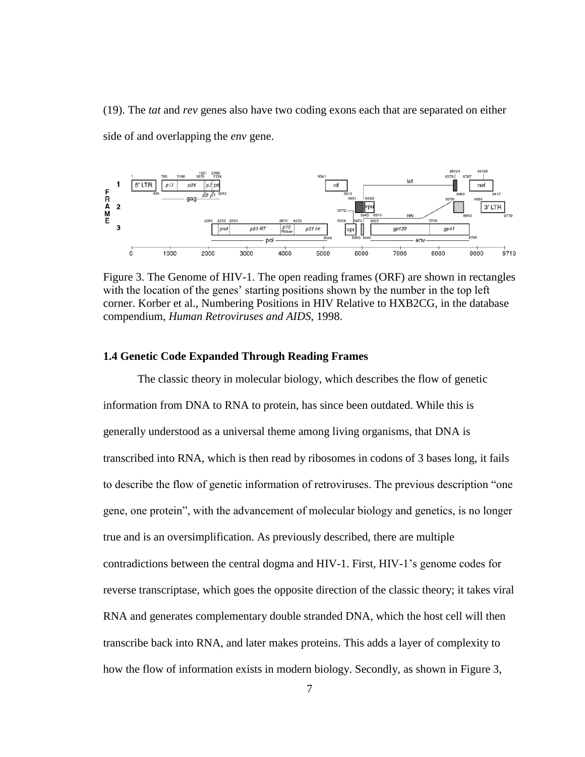(19). The *tat* and *rev* genes also have two coding exons each that are separated on either side of and overlapping the *env* gene.



Figure 3. The Genome of HIV-1. The open reading frames (ORF) are shown in rectangles with the location of the genes' starting positions shown by the number in the top left corner. Korber et al., Numbering Positions in HIV Relative to HXB2CG, in the database compendium, *Human Retroviruses and AIDS*, 1998.

### **1.4 Genetic Code Expanded Through Reading Frames**

The classic theory in molecular biology, which describes the flow of genetic information from DNA to RNA to protein, has since been outdated. While this is generally understood as a universal theme among living organisms, that DNA is transcribed into RNA, which is then read by ribosomes in codons of 3 bases long, it fails to describe the flow of genetic information of retroviruses. The previous description "one gene, one protein", with the advancement of molecular biology and genetics, is no longer true and is an oversimplification. As previously described, there are multiple contradictions between the central dogma and HIV-1. First, HIV-1's genome codes for reverse transcriptase, which goes the opposite direction of the classic theory; it takes viral RNA and generates complementary double stranded DNA, which the host cell will then transcribe back into RNA, and later makes proteins. This adds a layer of complexity to how the flow of information exists in modern biology. Secondly, as shown in Figure 3,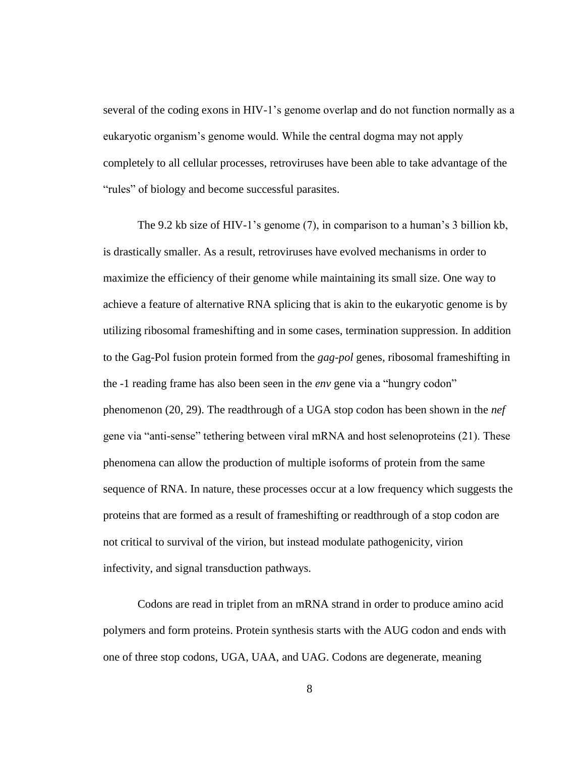several of the coding exons in HIV-1's genome overlap and do not function normally as a eukaryotic organism's genome would. While the central dogma may not apply completely to all cellular processes, retroviruses have been able to take advantage of the "rules" of biology and become successful parasites.

The 9.2 kb size of HIV-1's genome (7), in comparison to a human's 3 billion kb, is drastically smaller. As a result, retroviruses have evolved mechanisms in order to maximize the efficiency of their genome while maintaining its small size. One way to achieve a feature of alternative RNA splicing that is akin to the eukaryotic genome is by utilizing ribosomal frameshifting and in some cases, termination suppression. In addition to the Gag-Pol fusion protein formed from the *gag*-*pol* genes, ribosomal frameshifting in the -1 reading frame has also been seen in the *env* gene via a "hungry codon" phenomenon (20, 29). The readthrough of a UGA stop codon has been shown in the *nef* gene via "anti-sense" tethering between viral mRNA and host selenoproteins (21). These phenomena can allow the production of multiple isoforms of protein from the same sequence of RNA. In nature, these processes occur at a low frequency which suggests the proteins that are formed as a result of frameshifting or readthrough of a stop codon are not critical to survival of the virion, but instead modulate pathogenicity, virion infectivity, and signal transduction pathways.

Codons are read in triplet from an mRNA strand in order to produce amino acid polymers and form proteins. Protein synthesis starts with the AUG codon and ends with one of three stop codons, UGA, UAA, and UAG. Codons are degenerate, meaning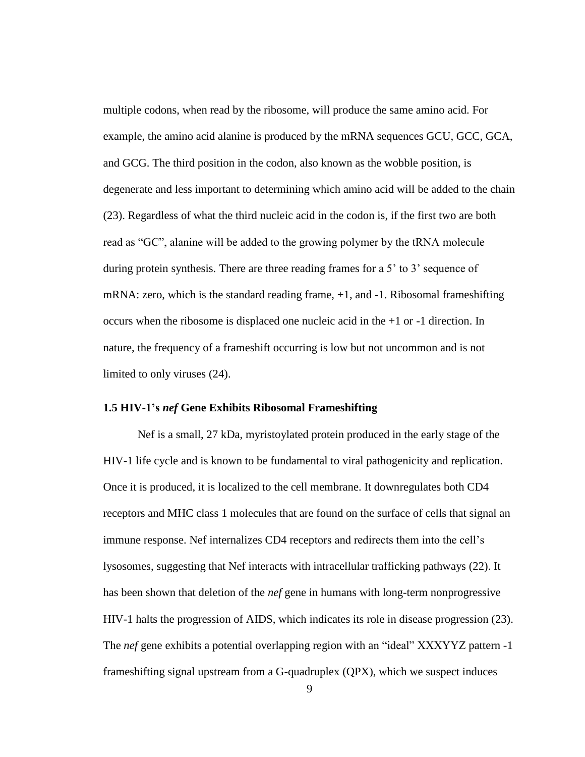multiple codons, when read by the ribosome, will produce the same amino acid. For example, the amino acid alanine is produced by the mRNA sequences GCU, GCC, GCA, and GCG. The third position in the codon, also known as the wobble position, is degenerate and less important to determining which amino acid will be added to the chain (23). Regardless of what the third nucleic acid in the codon is, if the first two are both read as "GC", alanine will be added to the growing polymer by the tRNA molecule during protein synthesis. There are three reading frames for a 5' to 3' sequence of mRNA: zero, which is the standard reading frame,  $+1$ , and  $-1$ . Ribosomal frameshifting occurs when the ribosome is displaced one nucleic acid in the +1 or -1 direction. In nature, the frequency of a frameshift occurring is low but not uncommon and is not limited to only viruses (24).

### **1.5 HIV-1's** *nef* **Gene Exhibits Ribosomal Frameshifting**

Nef is a small, 27 kDa, myristoylated protein produced in the early stage of the HIV-1 life cycle and is known to be fundamental to viral pathogenicity and replication. Once it is produced, it is localized to the cell membrane. It downregulates both CD4 receptors and MHC class 1 molecules that are found on the surface of cells that signal an immune response. Nef internalizes CD4 receptors and redirects them into the cell's lysosomes, suggesting that Nef interacts with intracellular trafficking pathways (22). It has been shown that deletion of the *nef* gene in humans with long-term nonprogressive HIV-1 halts the progression of AIDS, which indicates its role in disease progression (23). The *nef* gene exhibits a potential overlapping region with an "ideal" XXXYYZ pattern -1 frameshifting signal upstream from a G-quadruplex (QPX), which we suspect induces

9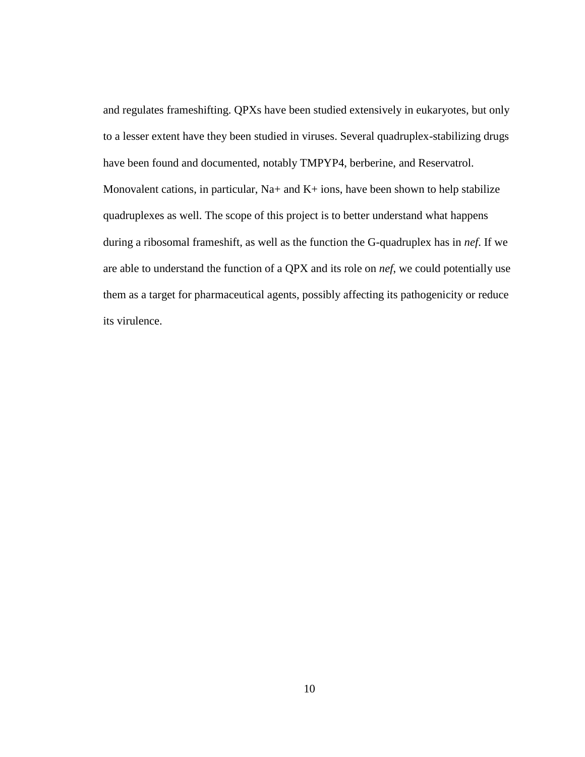and regulates frameshifting. QPXs have been studied extensively in eukaryotes, but only to a lesser extent have they been studied in viruses. Several quadruplex-stabilizing drugs have been found and documented, notably TMPYP4, berberine, and Reservatrol. Monovalent cations, in particular,  $Na+$  and  $K+$  ions, have been shown to help stabilize quadruplexes as well. The scope of this project is to better understand what happens during a ribosomal frameshift, as well as the function the G-quadruplex has in *nef*. If we are able to understand the function of a QPX and its role on *nef*, we could potentially use them as a target for pharmaceutical agents, possibly affecting its pathogenicity or reduce its virulence.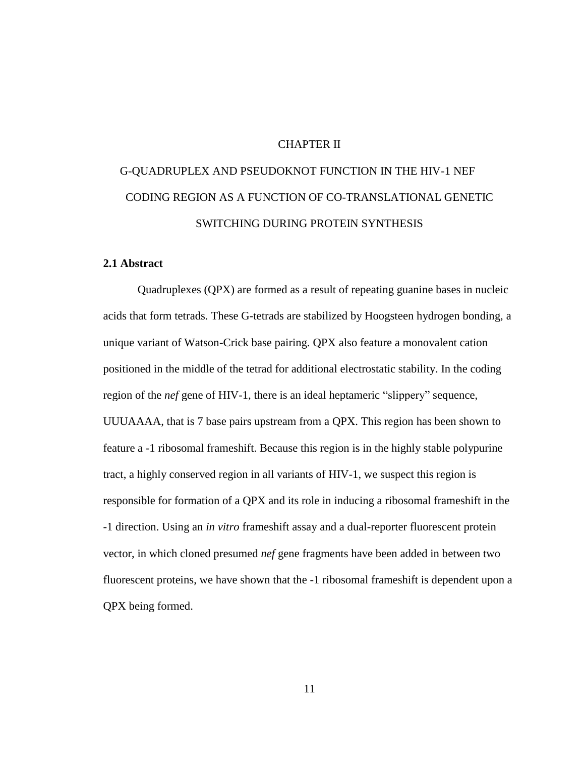### CHAPTER II

# G-QUADRUPLEX AND PSEUDOKNOT FUNCTION IN THE HIV-1 NEF CODING REGION AS A FUNCTION OF CO-TRANSLATIONAL GENETIC SWITCHING DURING PROTEIN SYNTHESIS

### **2.1 Abstract**

Quadruplexes (QPX) are formed as a result of repeating guanine bases in nucleic acids that form tetrads. These G-tetrads are stabilized by Hoogsteen hydrogen bonding, a unique variant of Watson-Crick base pairing. QPX also feature a monovalent cation positioned in the middle of the tetrad for additional electrostatic stability. In the coding region of the *nef* gene of HIV-1, there is an ideal heptameric "slippery" sequence, UUUAAAA, that is 7 base pairs upstream from a QPX. This region has been shown to feature a -1 ribosomal frameshift. Because this region is in the highly stable polypurine tract, a highly conserved region in all variants of HIV-1, we suspect this region is responsible for formation of a QPX and its role in inducing a ribosomal frameshift in the -1 direction. Using an *in vitro* frameshift assay and a dual-reporter fluorescent protein vector, in which cloned presumed *nef* gene fragments have been added in between two fluorescent proteins, we have shown that the -1 ribosomal frameshift is dependent upon a QPX being formed.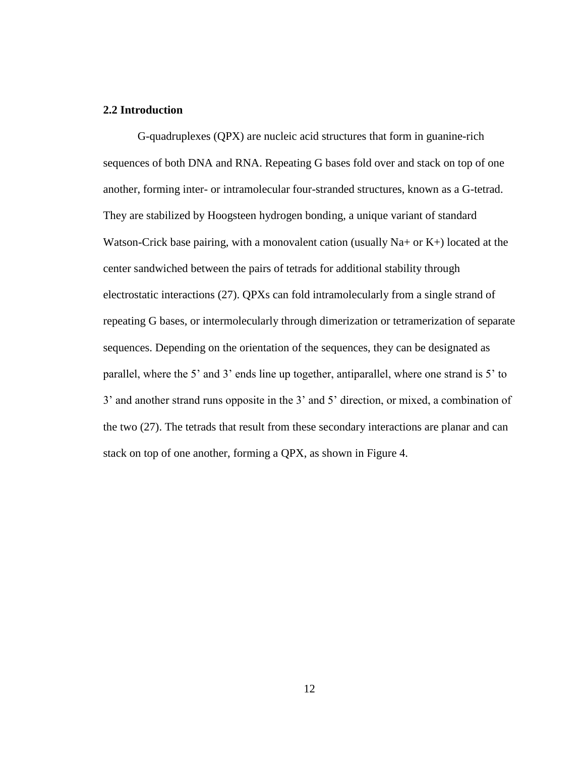### **2.2 Introduction**

G-quadruplexes (QPX) are nucleic acid structures that form in guanine-rich sequences of both DNA and RNA. Repeating G bases fold over and stack on top of one another, forming inter- or intramolecular four-stranded structures, known as a G-tetrad. They are stabilized by Hoogsteen hydrogen bonding, a unique variant of standard Watson-Crick base pairing, with a monovalent cation (usually  $Na+$  or  $K+$ ) located at the center sandwiched between the pairs of tetrads for additional stability through electrostatic interactions (27). QPXs can fold intramolecularly from a single strand of repeating G bases, or intermolecularly through dimerization or tetramerization of separate sequences. Depending on the orientation of the sequences, they can be designated as parallel, where the 5' and 3' ends line up together, antiparallel, where one strand is 5' to 3' and another strand runs opposite in the 3' and 5' direction, or mixed, a combination of the two (27). The tetrads that result from these secondary interactions are planar and can stack on top of one another, forming a QPX, as shown in Figure 4.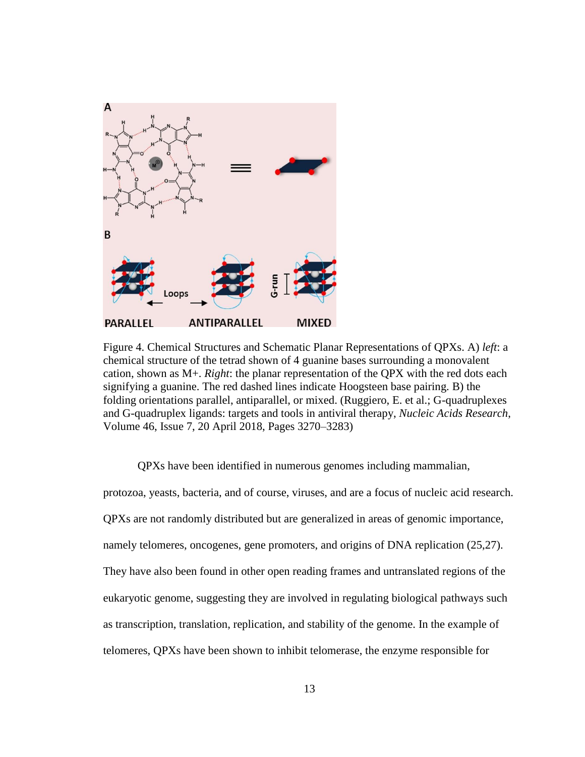

Figure 4. Chemical Structures and Schematic Planar Representations of QPXs. A) *left*: a chemical structure of the tetrad shown of 4 guanine bases surrounding a monovalent cation, shown as M+. *Right*: the planar representation of the QPX with the red dots each signifying a guanine. The red dashed lines indicate Hoogsteen base pairing. B) the folding orientations parallel, antiparallel, or mixed. (Ruggiero, E. et al.; G-quadruplexes and G-quadruplex ligands: targets and tools in antiviral therapy, *Nucleic Acids Research*, Volume 46, Issue 7, 20 April 2018, Pages 3270–3283)

QPXs have been identified in numerous genomes including mammalian, protozoa, yeasts, bacteria, and of course, viruses, and are a focus of nucleic acid research. QPXs are not randomly distributed but are generalized in areas of genomic importance, namely telomeres, oncogenes, gene promoters, and origins of DNA replication (25,27). They have also been found in other open reading frames and untranslated regions of the eukaryotic genome, suggesting they are involved in regulating biological pathways such as transcription, translation, replication, and stability of the genome. In the example of telomeres, QPXs have been shown to inhibit telomerase, the enzyme responsible for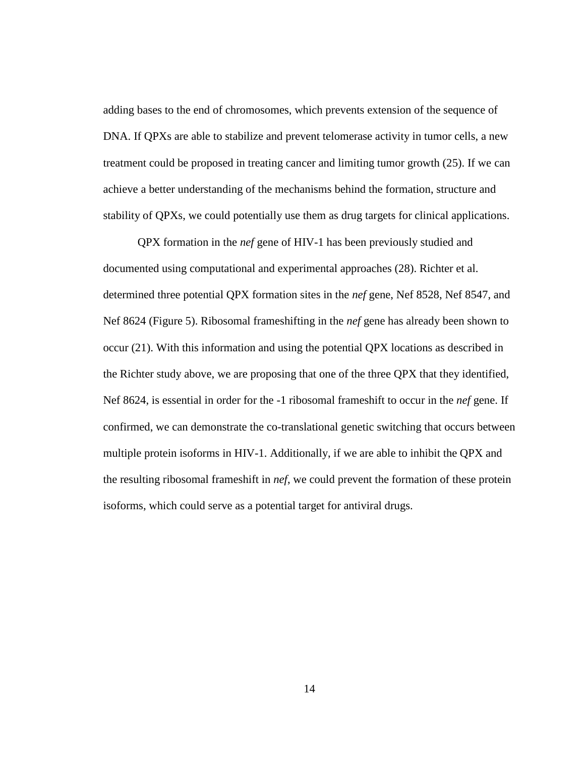adding bases to the end of chromosomes, which prevents extension of the sequence of DNA. If QPXs are able to stabilize and prevent telomerase activity in tumor cells, a new treatment could be proposed in treating cancer and limiting tumor growth (25). If we can achieve a better understanding of the mechanisms behind the formation, structure and stability of QPXs, we could potentially use them as drug targets for clinical applications.

QPX formation in the *nef* gene of HIV-1 has been previously studied and documented using computational and experimental approaches (28). Richter et al. determined three potential QPX formation sites in the *nef* gene, Nef 8528, Nef 8547, and Nef 8624 (Figure 5). Ribosomal frameshifting in the *nef* gene has already been shown to occur (21). With this information and using the potential QPX locations as described in the Richter study above, we are proposing that one of the three QPX that they identified, Nef 8624, is essential in order for the -1 ribosomal frameshift to occur in the *nef* gene. If confirmed, we can demonstrate the co-translational genetic switching that occurs between multiple protein isoforms in HIV-1. Additionally, if we are able to inhibit the QPX and the resulting ribosomal frameshift in *nef*, we could prevent the formation of these protein isoforms, which could serve as a potential target for antiviral drugs.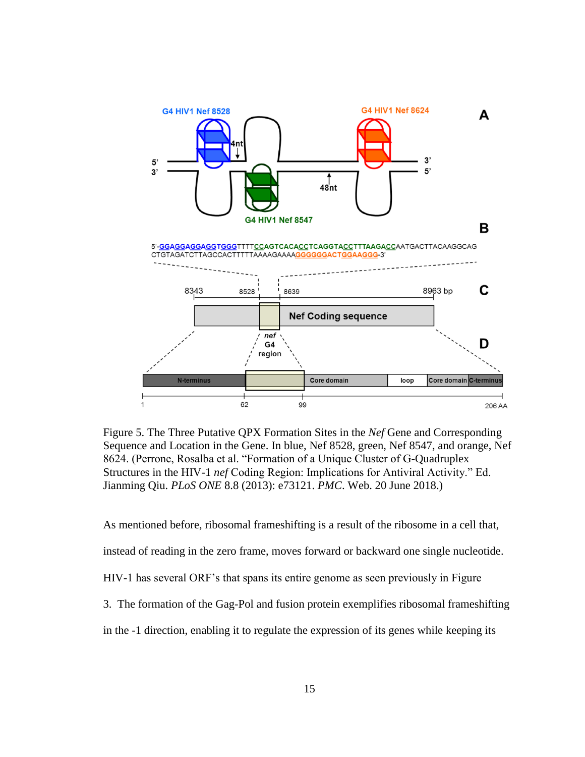

Figure 5. The Three Putative QPX Formation Sites in the *Nef* Gene and Corresponding Sequence and Location in the Gene. In blue, Nef 8528, green, Nef 8547, and orange, Nef 8624. (Perrone, Rosalba et al. "Formation of a Unique Cluster of G-Quadruplex Structures in the HIV-1 *nef* Coding Region: Implications for Antiviral Activity." Ed. Jianming Qiu. *PLoS ONE* 8.8 (2013): e73121. *PMC*. Web. 20 June 2018.)

As mentioned before, ribosomal frameshifting is a result of the ribosome in a cell that, instead of reading in the zero frame, moves forward or backward one single nucleotide. HIV-1 has several ORF's that spans its entire genome as seen previously in Figure 3. The formation of the Gag-Pol and fusion protein exemplifies ribosomal frameshifting in the -1 direction, enabling it to regulate the expression of its genes while keeping its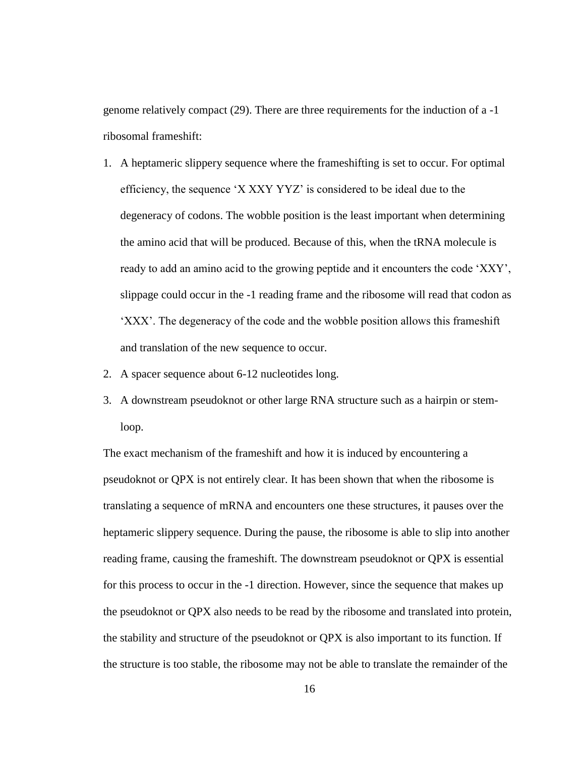genome relatively compact (29). There are three requirements for the induction of a -1 ribosomal frameshift:

- 1. A heptameric slippery sequence where the frameshifting is set to occur. For optimal efficiency, the sequence 'X XXY YYZ' is considered to be ideal due to the degeneracy of codons. The wobble position is the least important when determining the amino acid that will be produced. Because of this, when the tRNA molecule is ready to add an amino acid to the growing peptide and it encounters the code 'XXY', slippage could occur in the -1 reading frame and the ribosome will read that codon as 'XXX'. The degeneracy of the code and the wobble position allows this frameshift and translation of the new sequence to occur.
- 2. A spacer sequence about 6-12 nucleotides long.
- 3. A downstream pseudoknot or other large RNA structure such as a hairpin or stemloop.

The exact mechanism of the frameshift and how it is induced by encountering a pseudoknot or QPX is not entirely clear. It has been shown that when the ribosome is translating a sequence of mRNA and encounters one these structures, it pauses over the heptameric slippery sequence. During the pause, the ribosome is able to slip into another reading frame, causing the frameshift. The downstream pseudoknot or QPX is essential for this process to occur in the -1 direction. However, since the sequence that makes up the pseudoknot or QPX also needs to be read by the ribosome and translated into protein, the stability and structure of the pseudoknot or QPX is also important to its function. If the structure is too stable, the ribosome may not be able to translate the remainder of the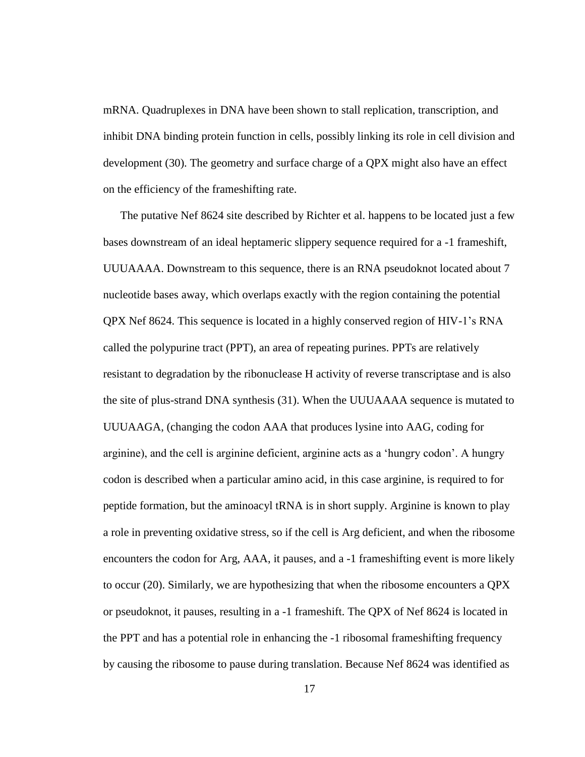mRNA. Quadruplexes in DNA have been shown to stall replication, transcription, and inhibit DNA binding protein function in cells, possibly linking its role in cell division and development (30). The geometry and surface charge of a QPX might also have an effect on the efficiency of the frameshifting rate.

The putative Nef 8624 site described by Richter et al. happens to be located just a few bases downstream of an ideal heptameric slippery sequence required for a -1 frameshift, UUUAAAA. Downstream to this sequence, there is an RNA pseudoknot located about 7 nucleotide bases away, which overlaps exactly with the region containing the potential QPX Nef 8624. This sequence is located in a highly conserved region of HIV-1's RNA called the polypurine tract (PPT), an area of repeating purines. PPTs are relatively resistant to degradation by the ribonuclease H activity of reverse transcriptase and is also the site of plus-strand DNA synthesis (31). When the UUUAAAA sequence is mutated to UUUAAGA, (changing the codon AAA that produces lysine into AAG, coding for arginine), and the cell is arginine deficient, arginine acts as a 'hungry codon'. A hungry codon is described when a particular amino acid, in this case arginine, is required to for peptide formation, but the aminoacyl tRNA is in short supply. Arginine is known to play a role in preventing oxidative stress, so if the cell is Arg deficient, and when the ribosome encounters the codon for Arg, AAA, it pauses, and a -1 frameshifting event is more likely to occur (20). Similarly, we are hypothesizing that when the ribosome encounters a QPX or pseudoknot, it pauses, resulting in a -1 frameshift. The QPX of Nef 8624 is located in the PPT and has a potential role in enhancing the -1 ribosomal frameshifting frequency by causing the ribosome to pause during translation. Because Nef 8624 was identified as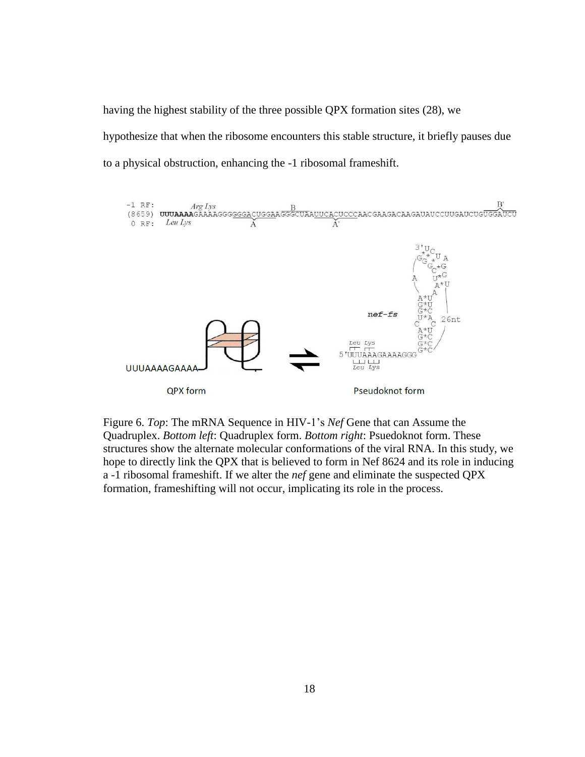having the highest stability of the three possible QPX formation sites (28), we hypothesize that when the ribosome encounters this stable structure, it briefly pauses due to a physical obstruction, enhancing the -1 ribosomal frameshift.



Figure 6. *Top*: The mRNA Sequence in HIV-1's *Nef* Gene that can Assume the Quadruplex. *Bottom left*: Quadruplex form. *Bottom right*: Psuedoknot form. These structures show the alternate molecular conformations of the viral RNA. In this study, we hope to directly link the QPX that is believed to form in Nef 8624 and its role in inducing a -1 ribosomal frameshift. If we alter the *nef* gene and eliminate the suspected QPX formation, frameshifting will not occur, implicating its role in the process.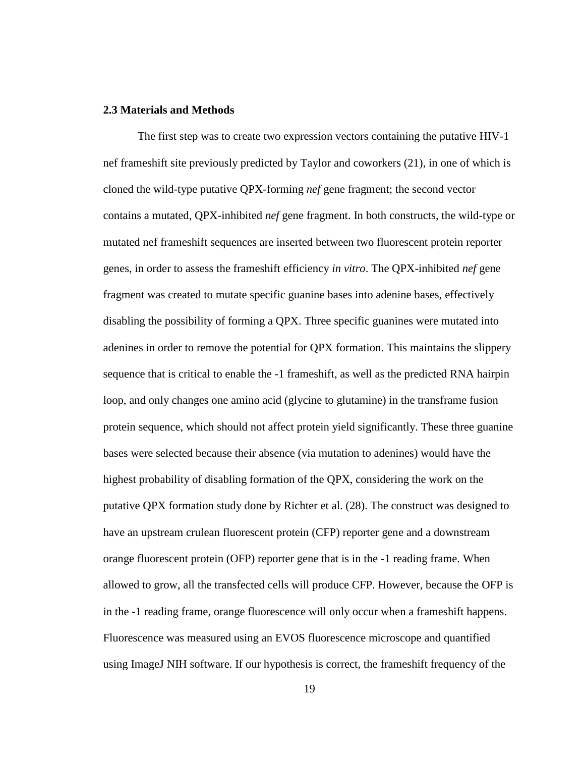### **2.3 Materials and Methods**

The first step was to create two expression vectors containing the putative HIV-1 nef frameshift site previously predicted by Taylor and coworkers (21), in one of which is cloned the wild-type putative QPX-forming *nef* gene fragment; the second vector contains a mutated, QPX-inhibited *nef* gene fragment. In both constructs, the wild-type or mutated nef frameshift sequences are inserted between two fluorescent protein reporter genes, in order to assess the frameshift efficiency *in vitro*. The QPX-inhibited *nef* gene fragment was created to mutate specific guanine bases into adenine bases, effectively disabling the possibility of forming a QPX. Three specific guanines were mutated into adenines in order to remove the potential for QPX formation. This maintains the slippery sequence that is critical to enable the -1 frameshift, as well as the predicted RNA hairpin loop, and only changes one amino acid (glycine to glutamine) in the transframe fusion protein sequence, which should not affect protein yield significantly. These three guanine bases were selected because their absence (via mutation to adenines) would have the highest probability of disabling formation of the QPX, considering the work on the putative QPX formation study done by Richter et al. (28). The construct was designed to have an upstream crulean fluorescent protein (CFP) reporter gene and a downstream orange fluorescent protein (OFP) reporter gene that is in the -1 reading frame. When allowed to grow, all the transfected cells will produce CFP. However, because the OFP is in the -1 reading frame, orange fluorescence will only occur when a frameshift happens. Fluorescence was measured using an EVOS fluorescence microscope and quantified using ImageJ NIH software. If our hypothesis is correct, the frameshift frequency of the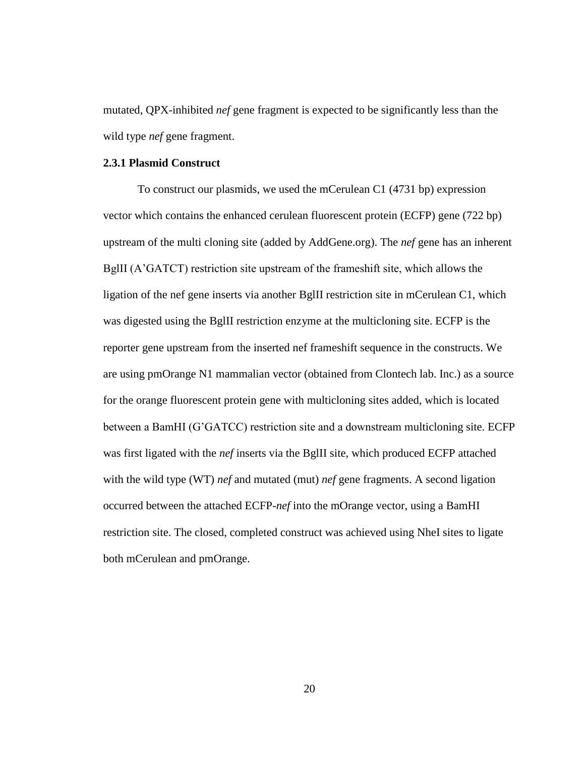mutated, QPX-inhibited *nef* gene fragment is expected to be significantly less than the wild type *nef* gene fragment.

### **2.3.1 Plasmid Construct**

To construct our plasmids, we used the mCerulean C1 (4731 bp) expression vector which contains the enhanced cerulean fluorescent protein (ECFP) gene (722 bp) upstream of the multi cloning site (added by AddGene.org). The *nef* gene has an inherent BglII (A'GATCT) restriction site upstream of the frameshift site, which allows the ligation of the nef gene inserts via another BglII restriction site in mCerulean C1, which was digested using the BglII restriction enzyme at the multicloning site. ECFP is the reporter gene upstream from the inserted nef frameshift sequence in the constructs. We are using pmOrange N1 mammalian vector (obtained from Clontech lab. Inc.) as a source for the orange fluorescent protein gene with multicloning sites added, which is located between a BamHI (G'GATCC) restriction site and a downstream multicloning site. ECFP was first ligated with the *nef* inserts via the BglII site, which produced ECFP attached with the wild type (WT) *nef* and mutated (mut) *nef* gene fragments. A second ligation occurred between the attached ECFP-*nef* into the mOrange vector, using a BamHI restriction site. The closed, completed construct was achieved using NheI sites to ligate both mCerulean and pmOrange.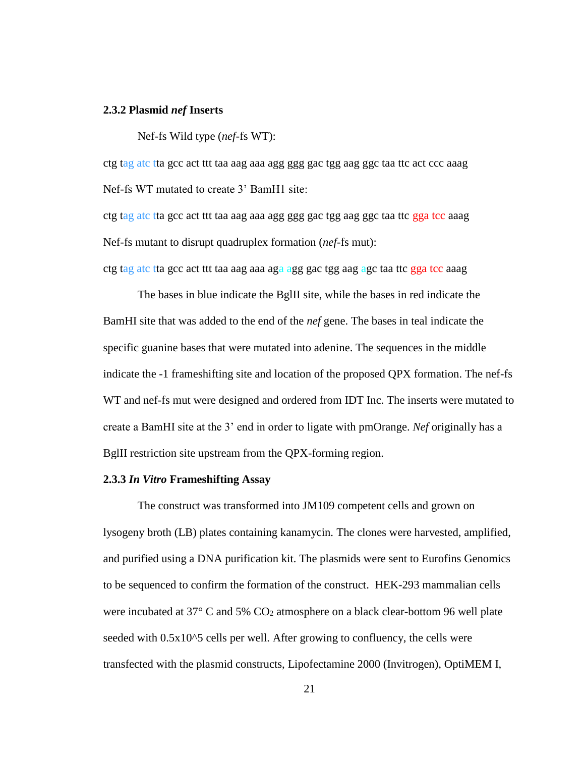### **2.3.2 Plasmid** *nef* **Inserts**

Nef-fs Wild type (*nef*-fs WT):

ctg tag atc tta gcc act ttt taa aag aaa agg ggg gac tgg aag ggc taa ttc act ccc aaag Nef-fs WT mutated to create 3' BamH1 site:

ctg tag atc tta gcc act ttt taa aag aaa agg ggg gac tgg aag ggc taa ttc gga tcc aaag Nef-fs mutant to disrupt quadruplex formation (*nef*-fs mut):

ctg tag atc tta gcc act ttt taa aag aaa aga agg gac tgg aag agc taa ttc gga tcc aaag

The bases in blue indicate the BglII site, while the bases in red indicate the BamHI site that was added to the end of the *nef* gene. The bases in teal indicate the specific guanine bases that were mutated into adenine. The sequences in the middle indicate the -1 frameshifting site and location of the proposed QPX formation. The nef-fs WT and nef-fs mut were designed and ordered from IDT Inc. The inserts were mutated to create a BamHI site at the 3' end in order to ligate with pmOrange. *Nef* originally has a BglII restriction site upstream from the QPX-forming region.

### **2.3.3** *In Vitro* **Frameshifting Assay**

The construct was transformed into JM109 competent cells and grown on lysogeny broth (LB) plates containing kanamycin. The clones were harvested, amplified, and purified using a DNA purification kit. The plasmids were sent to Eurofins Genomics to be sequenced to confirm the formation of the construct. HEK-293 mammalian cells were incubated at  $37^{\circ}$  C and  $5\%$  CO<sub>2</sub> atmosphere on a black clear-bottom 96 well plate seeded with  $0.5x10<sup>5</sup>$  cells per well. After growing to confluency, the cells were transfected with the plasmid constructs, Lipofectamine 2000 (Invitrogen), OptiMEM I,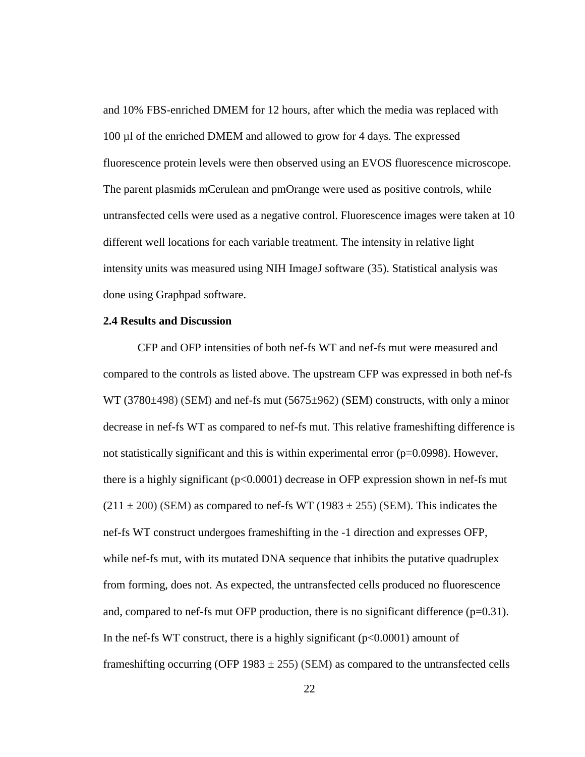and 10% FBS-enriched DMEM for 12 hours, after which the media was replaced with 100 µl of the enriched DMEM and allowed to grow for 4 days. The expressed fluorescence protein levels were then observed using an EVOS fluorescence microscope. The parent plasmids mCerulean and pmOrange were used as positive controls, while untransfected cells were used as a negative control. Fluorescence images were taken at 10 different well locations for each variable treatment. The intensity in relative light intensity units was measured using NIH ImageJ software (35). Statistical analysis was done using Graphpad software.

#### **2.4 Results and Discussion**

CFP and OFP intensities of both nef-fs WT and nef-fs mut were measured and compared to the controls as listed above. The upstream CFP was expressed in both nef-fs WT (3780 $\pm$ 498) (SEM) and nef-fs mut (5675 $\pm$ 962) (SEM) constructs, with only a minor decrease in nef-fs WT as compared to nef-fs mut. This relative frameshifting difference is not statistically significant and this is within experimental error  $(p=0.0998)$ . However, there is a highly significant (p<0.0001) decrease in OFP expression shown in nef-fs mut  $(211 \pm 200)$  (SEM) as compared to nef-fs WT (1983  $\pm$  255) (SEM). This indicates the nef-fs WT construct undergoes frameshifting in the -1 direction and expresses OFP, while nef-fs mut, with its mutated DNA sequence that inhibits the putative quadruplex from forming, does not. As expected, the untransfected cells produced no fluorescence and, compared to nef-fs mut OFP production, there is no significant difference  $(p=0.31)$ . In the nef-fs WT construct, there is a highly significant ( $p<0.0001$ ) amount of frameshifting occurring (OFP 1983  $\pm$  255) (SEM) as compared to the untransfected cells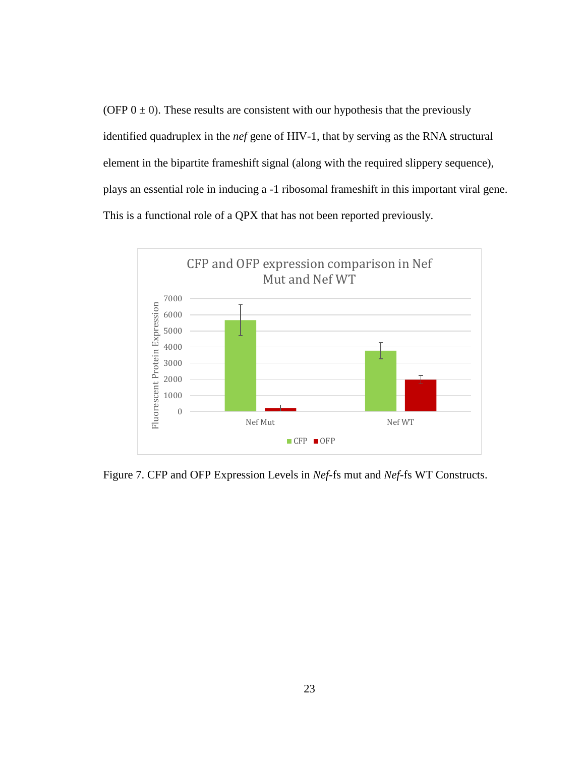(OFP  $0 \pm 0$ ). These results are consistent with our hypothesis that the previously identified quadruplex in the *nef* gene of HIV-1, that by serving as the RNA structural element in the bipartite frameshift signal (along with the required slippery sequence), plays an essential role in inducing a -1 ribosomal frameshift in this important viral gene. This is a functional role of a QPX that has not been reported previously.



Figure 7. CFP and OFP Expression Levels in *Nef*-fs mut and *Nef*-fs WT Constructs.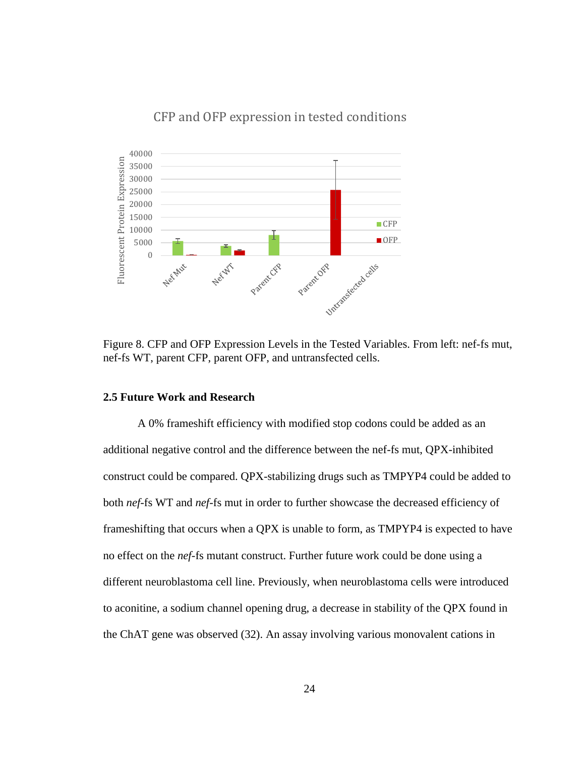## CFP and OFP expression in tested conditions



Figure 8. CFP and OFP Expression Levels in the Tested Variables. From left: nef-fs mut, nef-fs WT, parent CFP, parent OFP, and untransfected cells.

### **2.5 Future Work and Research**

A 0% frameshift efficiency with modified stop codons could be added as an additional negative control and the difference between the nef-fs mut, QPX-inhibited construct could be compared. QPX-stabilizing drugs such as TMPYP4 could be added to both *nef*-fs WT and *nef*-fs mut in order to further showcase the decreased efficiency of frameshifting that occurs when a QPX is unable to form, as TMPYP4 is expected to have no effect on the *nef*-fs mutant construct. Further future work could be done using a different neuroblastoma cell line. Previously, when neuroblastoma cells were introduced to aconitine, a sodium channel opening drug, a decrease in stability of the QPX found in the ChAT gene was observed (32). An assay involving various monovalent cations in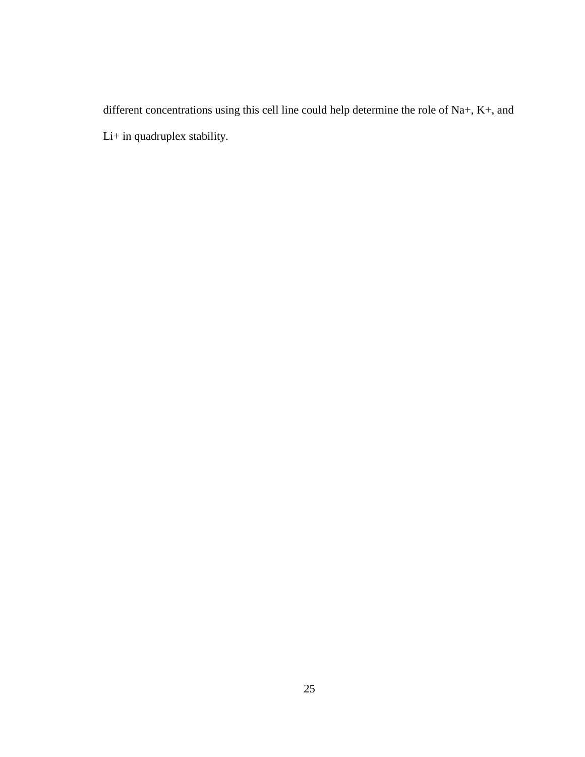different concentrations using this cell line could help determine the role of Na+, K+, and Li+ in quadruplex stability.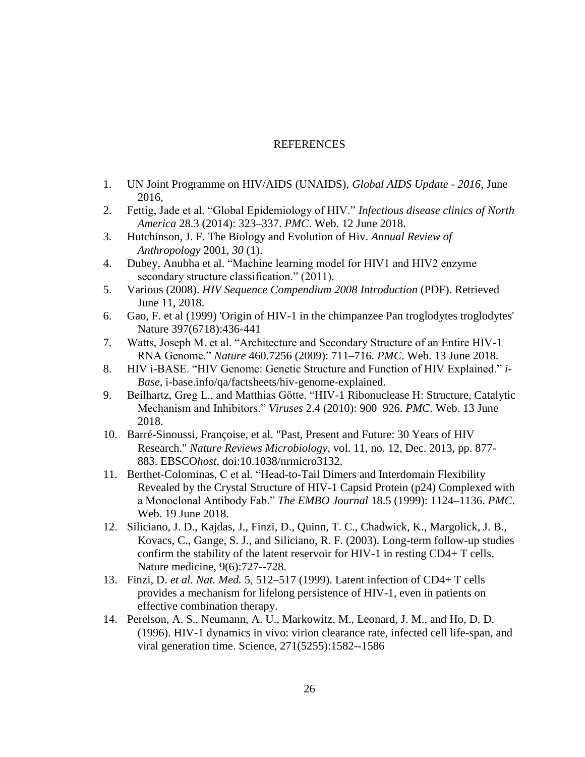### **REFERENCES**

- 1. UN Joint Programme on HIV/AIDS (UNAIDS), *Global AIDS Update - 2016*, June 2016,
- 2. Fettig, Jade et al. "Global Epidemiology of HIV." *Infectious disease clinics of North America* 28.3 (2014): 323–337. *PMC*. Web. 12 June 2018.
- 3. Hutchinson, J. F. The Biology and Evolution of Hiv. *Annual Review of Anthropology* 2001, *30* (1).
- 4. Dubey, Anubha et al. "Machine learning model for HIV1 and HIV2 enzyme secondary structure classification." (2011).
- 5. Various (2008). *HIV Sequence Compendium 2008 Introduction* (PDF). Retrieved June 11, 2018.
- 6. Gao, F. et al (1999) 'Origin of HIV-1 in the chimpanzee Pan troglodytes troglodytes' Nature 397(6718):436-441
- 7. Watts, Joseph M. et al. "Architecture and Secondary Structure of an Entire HIV-1 RNA Genome." *Nature* 460.7256 (2009): 711–716. *PMC*. Web. 13 June 2018.
- 8. HIV i-BASE. "HIV Genome: Genetic Structure and Function of HIV Explained." *i-Base*, i-base.info/qa/factsheets/hiv-genome-explained.
- 9. Beilhartz, Greg L., and Matthias Götte. "HIV-1 Ribonuclease H: Structure, Catalytic Mechanism and Inhibitors." *Viruses* 2.4 (2010): 900–926. *PMC*. Web. 13 June 2018.
- 10. Barré-Sinoussi, Françoise, et al. "Past, Present and Future: 30 Years of HIV Research." *Nature Reviews Microbiology*, vol. 11, no. 12, Dec. 2013, pp. 877- 883. EBSCO*host*, doi:10.1038/nrmicro3132.
- 11. Berthet-Colominas, C et al. "Head-to-Tail Dimers and Interdomain Flexibility Revealed by the Crystal Structure of HIV-1 Capsid Protein (p24) Complexed with a Monoclonal Antibody Fab." *The EMBO Journal* 18.5 (1999): 1124–1136. *PMC*. Web. 19 June 2018.
- 12. Siliciano, J. D., Kajdas, J., Finzi, D., Quinn, T. C., Chadwick, K., Margolick, J. B., Kovacs, C., Gange, S. J., and Siliciano, R. F. (2003). Long-term follow-up studies confirm the stability of the latent reservoir for HIV-1 in resting CD4+ T cells. Nature medicine, 9(6):727--728.
- 13. Finzi, D. *et al. Nat. Med.* 5, 512–517 (1999). Latent infection of CD4+ T cells provides a mechanism for lifelong persistence of HIV-1, even in patients on effective combination therapy.
- 14. Perelson, A. S., Neumann, A. U., Markowitz, M., Leonard, J. M., and Ho, D. D. (1996). HIV-1 dynamics in vivo: virion clearance rate, infected cell life-span, and viral generation time. Science, 271(5255):1582--1586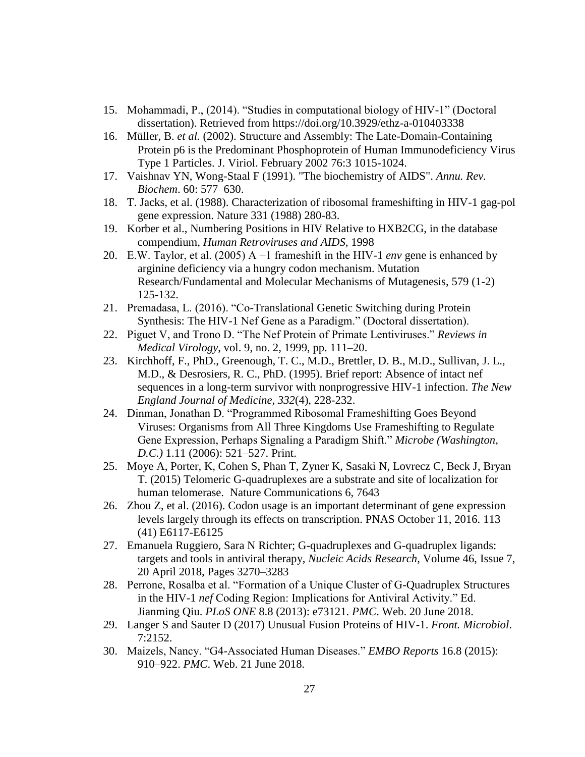- 15. Mohammadi, P., (2014). "Studies in computational biology of HIV-1" (Doctoral dissertation). Retrieved from https://doi.org/10.3929/ethz-a-010403338
- 16. Müller, B. *et al.* (2002). Structure and Assembly: The Late-Domain-Containing Protein p6 is the Predominant Phosphoprotein of Human Immunodeficiency Virus Type 1 Particles. J. Viriol. February 2002 76:3 1015-1024.
- 17. Vaishnav YN, Wong-Staal F (1991). "The biochemistry of AIDS". *Annu. Rev. Biochem*. 60: 577–630.
- 18. T. Jacks, et al. (1988). Characterization of ribosomal frameshifting in HIV-1 gag-pol gene expression. Nature 331 (1988) 280-83.
- 19. Korber et al., Numbering Positions in HIV Relative to HXB2CG, in the database compendium, *Human Retroviruses and AIDS*, 1998
- 20. E.W. Taylor, et al. (2005) A −1 frameshift in the HIV-1 *env* gene is enhanced by arginine deficiency via a hungry codon mechanism. Mutation Research/Fundamental and Molecular Mechanisms of Mutagenesis, 579 (1-2) 125-132.
- 21. Premadasa, L. (2016). "Co-Translational Genetic Switching during Protein Synthesis: The HIV-1 Nef Gene as a Paradigm." (Doctoral dissertation).
- 22. Piguet V, and Trono D. "The Nef Protein of Primate Lentiviruses." *Reviews in Medical Virology*, vol. 9, no. 2, 1999, pp. 111–20.
- 23. Kirchhoff, F., PhD., Greenough, T. C., M.D., Brettler, D. B., M.D., Sullivan, J. L., M.D., & Desrosiers, R. C., PhD. (1995). Brief report: Absence of intact nef sequences in a long-term survivor with nonprogressive HIV-1 infection. *The New England Journal of Medicine, 332*(4), 228-232.
- 24. Dinman, Jonathan D. "Programmed Ribosomal Frameshifting Goes Beyond Viruses: Organisms from All Three Kingdoms Use Frameshifting to Regulate Gene Expression, Perhaps Signaling a Paradigm Shift." *Microbe (Washington, D.C.)* 1.11 (2006): 521–527. Print.
- 25. Moye A, Porter, K, Cohen S, Phan T, Zyner K, Sasaki N, Lovrecz C, Beck J, Bryan T. (2015) Telomeric G-quadruplexes are a substrate and site of localization for human telomerase. Nature Communications 6, 7643
- 26. Zhou Z, et al. (2016). Codon usage is an important determinant of gene expression levels largely through its effects on transcription. PNAS October 11, 2016. 113 (41) E6117-E6125
- 27. Emanuela Ruggiero, Sara N Richter; G-quadruplexes and G-quadruplex ligands: targets and tools in antiviral therapy, *Nucleic Acids Research*, Volume 46, Issue 7, 20 April 2018, Pages 3270–3283
- 28. Perrone, Rosalba et al. "Formation of a Unique Cluster of G-Quadruplex Structures in the HIV-1 *nef* Coding Region: Implications for Antiviral Activity." Ed. Jianming Qiu. *PLoS ONE* 8.8 (2013): e73121. *PMC*. Web. 20 June 2018.
- 29. Langer S and Sauter D (2017) Unusual Fusion Proteins of HIV-1. *Front. Microbiol*. 7:2152.
- 30. Maizels, Nancy. "G4-Associated Human Diseases." *EMBO Reports* 16.8 (2015): 910–922. *PMC*. Web. 21 June 2018.